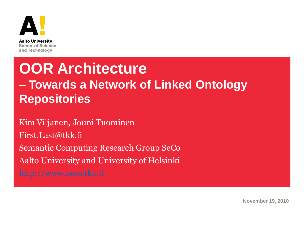

#### **OOR Architecture – Towards a Network of Linked Ontology Repositories**

Kim Viljanen, Jouni Tuominen First.Last@tkk.fi Semantic Computing Research Group SeCo Aalto University and University of Helsinki [http://www.seco.tkk.fi](http://www.seco.tkk.fi/)

**November 19, 2010**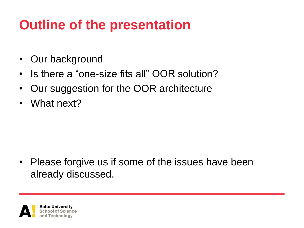# **Outline of the presentation**

- Our background
- Is there a "one-size fits all" OOR solution?
- Our suggestion for the OOR architecture
- What next?

• Please forgive us if some of the issues have been already discussed.

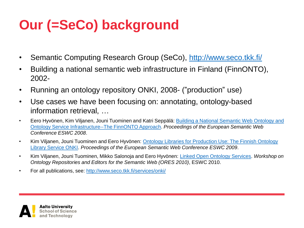# **Our (=SeCo) background**

- Semantic Computing Research Group (SeCo), <http://www.seco.tkk.fi/>
- Building a national semantic web infrastructure in Finland (FinnONTO), 2002-
- Running an ontology repository ONKI, 2008- ("production" use)
- Use cases we have been focusing on: annotating, ontology-based information retrieval, …
- Eero Hyvönen, Kim Viljanen, Jouni Tuominen and Katri Seppälä: [Building a National Semantic](http://www.seco.tkk.fi/publications/2008/hyvonen-et-al-building-2008.pdf) [Web Ontology](http://www.seco.tkk.fi/publications/2008/hyvonen-et-al-building-2008.pdf) and [Ontology](http://www.seco.tkk.fi/publications/2008/hyvonen-et-al-building-2008.pdf) [Service Infrastructure--The](http://www.seco.tkk.fi/publications/2008/hyvonen-et-al-building-2008.pdf) [FinnONTO](http://www.seco.tkk.fi/publications/2008/hyvonen-et-al-building-2008.pdf) [Approach](http://www.seco.tkk.fi/publications/2008/hyvonen-et-al-building-2008.pdf). *Proceedings of the European Semantic Web Conference ESWC 2008*.
- Kim Viljanen, Jouni Tuominen and Eero Hyvönen: [Ontology](http://www.seco.tkk.fi/publications/2009/viljanen-et-al-www.yso.fi-2009.pdf) [Libraries](http://www.seco.tkk.fi/publications/2009/viljanen-et-al-www.yso.fi-2009.pdf) [for Production](http://www.seco.tkk.fi/publications/2009/viljanen-et-al-www.yso.fi-2009.pdf) [Use: The Finnish](http://www.seco.tkk.fi/publications/2009/viljanen-et-al-www.yso.fi-2009.pdf) [Ontology](http://www.seco.tkk.fi/publications/2009/viljanen-et-al-www.yso.fi-2009.pdf) [Library](http://www.seco.tkk.fi/publications/2009/viljanen-et-al-www.yso.fi-2009.pdf) [Service ONKI.](http://www.seco.tkk.fi/publications/2009/viljanen-et-al-www.yso.fi-2009.pdf) *Proceedings of the European Semantic Web Conference ESWC 2009*.
- Kim Viljanen, Jouni Tuominen, Mikko Salonoja and Eero Hyvönen: [Linked](http://www.seco.tkk.fi/publications/2010/viljanen-et-al-onki-loos-2010.pdf) [Open](http://www.seco.tkk.fi/publications/2010/viljanen-et-al-onki-loos-2010.pdf) [Ontology](http://www.seco.tkk.fi/publications/2010/viljanen-et-al-onki-loos-2010.pdf) [Services.](http://www.seco.tkk.fi/publications/2010/viljanen-et-al-onki-loos-2010.pdf) *Workshop on Ontology Repositories and Editors for the Semantic Web (ORES 2010)*, ESWC 2010.
- For all publications, see:<http://www.seco.tkk.fi/services/onki/>

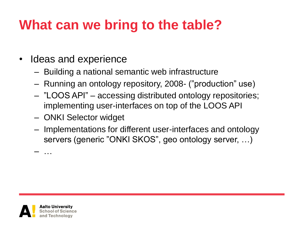### **What can we bring to the table?**

- Ideas and experience
	- Building a national semantic web infrastructure
	- Running an ontology repository, 2008- ("production" use)
	- "LOOS API" accessing distributed ontology repositories; implementing user-interfaces on top of the LOOS API
	- ONKI Selector widget
	- Implementations for different user-interfaces and ontology servers (generic "ONKI SKOS", geo ontology server, …)

– …

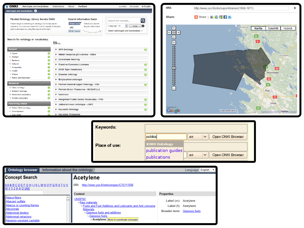| <b>ONKI</b><br>Ontologies and vocabularies                                                                                                                                      | <b>Instructions</b>                               | About<br>Feedback                                                                   | suomeksi på svenska in English                                                                                                | URI:                        |                                                             | http://www.yso.fi/onto/sapo/Ahlainen(1908-1971) | X                                |
|---------------------------------------------------------------------------------------------------------------------------------------------------------------------------------|---------------------------------------------------|-------------------------------------------------------------------------------------|-------------------------------------------------------------------------------------------------------------------------------|-----------------------------|-------------------------------------------------------------|-------------------------------------------------|----------------------------------|
| Ontologies and vocabularies <b>O</b><br>Finnish Ontology Library Service ONKI                                                                                                   |                                                   | <b>Search information faster</b>                                                    |                                                                                                                               | Share:                      | $+$ Share $+$ $\otimes$ $\frac{3}{2}$ $\uparrow$ $\uparrow$ |                                                 |                                  |
| Please begin by selecting an ontology or a vocabulary for<br>browsing. You can also search from all or specific ontologies<br>and vocabularies by using the search at the right |                                                   | Yleinen suom<br>Select your search<br>targets beforehand.<br>allä<br>Allmän tesauru | $\alpha$<br>Search for concept<br>$\boxed{\bullet}$ Clear<br><b>D</b><br>Language: en<br>Select ontologies and vocabularies * | 囨<br>⊡⊠⊡                    |                                                             | Merikarvia                                      | Satelliitti<br>Kartta<br>Hybridi |
| Search for ontology or vocabulary:                                                                                                                                              | 59 <sub>hits</sub>                                |                                                                                     |                                                                                                                               | ⊡<br>$\boxplus$             |                                                             |                                                 | E8<br>8                          |
| <b>Subject</b>                                                                                                                                                                  | AFO Ontology                                      |                                                                                     | $\bullet$                                                                                                                     |                             |                                                             |                                                 |                                  |
| 8 Upper                                                                                                                                                                         | $\bullet$                                         | Allmän tesaurus på svenska - Allärs                                                 |                                                                                                                               |                             |                                                             | Viitameri                                       |                                  |
| 12 Domain                                                                                                                                                                       | $\bullet$<br>$\triangleright$ Coordinate fetching |                                                                                     |                                                                                                                               |                             |                                                             |                                                 | Pomarkku                         |
| 5 Business<br>13 Cultural                                                                                                                                                       | $\bullet$<br>$\bullet$                            | ▶ Creative Commons Licenses                                                         | $\bullet$                                                                                                                     |                             |                                                             |                                                 |                                  |
| 5 Geography                                                                                                                                                                     | $\bullet$<br>DCMI Type Vocabulary                 |                                                                                     | $\bullet$                                                                                                                     |                             |                                                             |                                                 | 123                              |
| 10 Health                                                                                                                                                                       | $\bullet$                                         |                                                                                     |                                                                                                                               |                             |                                                             |                                                 | Noormarkku                       |
| 3 Nature<br>3 Public administration                                                                                                                                             | $\bullet$<br>Disaster ontology<br>$\bullet$       |                                                                                     | $\ddot{\mathbf{o}}$                                                                                                           |                             |                                                             |                                                 |                                  |
| <b>Structure</b>                                                                                                                                                                | ▶ Erityisryhmä-ontologia                          |                                                                                     |                                                                                                                               |                             |                                                             |                                                 | 23                               |
| 30 Class ontology                                                                                                                                                               | $\bullet$                                         | Finnish General Upper Ontology - YSO                                                | $\mathbf{o}$                                                                                                                  |                             |                                                             |                                                 | E8                               |
| 6 Instance ontology                                                                                                                                                             | $\bullet$                                         | Finnish Music Thesaurus - MUSA/CILLA                                                |                                                                                                                               |                             |                                                             |                                                 | Pori                             |
| 18 Advanced vocabulary                                                                                                                                                          | $\bullet$<br>$\blacktriangleright$ Iconclass      |                                                                                     |                                                                                                                               |                             |                                                             |                                                 |                                  |
| 5 Simple vocabulary                                                                                                                                                             | $\bullet$                                         | Integrated Public Sector Vocabulary - IPSV                                          | $\bullet$                                                                                                                     |                             |                                                             |                                                 | 11                               |
| Publishing status                                                                                                                                                               |                                                   | ▶ Julkishallinnon ontologia - JUHO                                                  | $\bullet$                                                                                                                     |                             |                                                             |                                                 | <b>Ulvila</b>                    |
| 30 Public ONKI-ontology<br>13 Development                                                                                                                                       | $\bullet$<br>▶ Kaunokki Ontology<br>$\bullet$     |                                                                                     | $\ddot{\mathbf{O}}$                                                                                                           | OWERED BY<br>Google         |                                                             | Viasvedenlahti                                  | E <sub>8</sub>                   |
| Own ONKI                                                                                                                                                                        | ▶ Kaunokki Thesaurus<br>ര                         |                                                                                     |                                                                                                                               |                             |                                                             | Luvia                                           | Karttatiedot @2010 Nakkilatöehdo |
|                                                                                                                                                                                 |                                                   |                                                                                     | Keywords:                                                                                                                     |                             |                                                             |                                                 |                                  |
|                                                                                                                                                                                 |                                                   |                                                                                     |                                                                                                                               | publica                     | en<br>$\checkmark$                                          | Open ONKI Browser                               |                                  |
|                                                                                                                                                                                 |                                                   |                                                                                     | Place of use:                                                                                                                 | KOKO Ontology               |                                                             |                                                 |                                  |
|                                                                                                                                                                                 |                                                   |                                                                                     |                                                                                                                               | publication guides          |                                                             |                                                 |                                  |
|                                                                                                                                                                                 |                                                   |                                                                                     |                                                                                                                               | publications                | ∨<br>en                                                     | Open ONKI Browser                               |                                  |
|                                                                                                                                                                                 |                                                   |                                                                                     |                                                                                                                               |                             |                                                             |                                                 |                                  |
| <b>Ontology browser</b>                                                                                                                                                         | Information about the ontology                    |                                                                                     |                                                                                                                               |                             | Language English                                            |                                                 |                                  |
| <b>Concept Search</b>                                                                                                                                                           |                                                   | <b>Acetylene</b>                                                                    |                                                                                                                               |                             |                                                             |                                                 |                                  |
| 0-9 A B C D E F G H I J K L M N O P Q R S T U V<br><u>W X Y Z Å Ä Ö [All]</u>                                                                                                   |                                                   |                                                                                     | URI: http://www.yso.fi/onto/unspsc/C15111506                                                                                  |                             |                                                             |                                                 |                                  |
|                                                                                                                                                                                 |                                                   | <b>Context</b>                                                                      |                                                                                                                               | <b>Properties</b>           |                                                             |                                                 |                                  |
| Abaca fibers<br>Abacavir sulfate                                                                                                                                                | $\blacktriangle$                                  | <b>UNSPSC</b>                                                                       |                                                                                                                               | Label (en): Acetylene       |                                                             |                                                 |                                  |
| <b>Abacus or counting frames</b>                                                                                                                                                |                                                   | └Raw materials                                                                      | └ Fuels and Fuel Additives and Lubricants and Anti corrosive                                                                  | Label (fi): Asetyleeni      |                                                             |                                                 |                                  |
| Abciximab                                                                                                                                                                       |                                                   | <b>Materials</b>                                                                    |                                                                                                                               |                             |                                                             |                                                 |                                  |
| <b>Abdominal binders</b>                                                                                                                                                        |                                                   | └ Gaseous fuels and additives                                                       |                                                                                                                               | Broader term: Gaseous fuels |                                                             |                                                 |                                  |
| <b>Abdominal retractors</b>                                                                                                                                                     |                                                   | └ Gaseous fuels                                                                     | LAcetylene Show 9 coordinate concepts                                                                                         |                             |                                                             |                                                 |                                  |
| Abrasion resistant castable                                                                                                                                                     |                                                   |                                                                                     |                                                                                                                               |                             |                                                             |                                                 |                                  |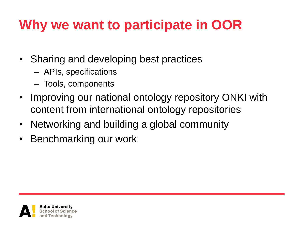## **Why we want to participate in OOR**

- Sharing and developing best practices
	- APIs, specifications
	- Tools, components
- Improving our national ontology repository ONKI with content from international ontology repositories
- Networking and building a global community
- Benchmarking our work

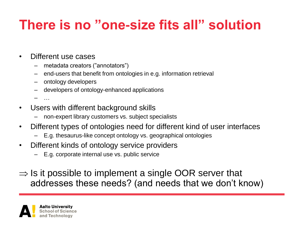# **There is no "one-size fits all" solution**

- Different use cases
	- metadata creators ("annotators")
	- end-users that benefit from ontologies in e.g. information retrieval
	- ontology developers
	- developers of ontology-enhanced applications

– …

- Users with different background skills
	- non-expert library customers vs. subject specialists
- Different types of ontologies need for different kind of user interfaces
	- E.g. thesaurus-like concept ontology vs. geographical ontologies
- Different kinds of ontology service providers
	- E.g. corporate internal use vs. public service
- $\Rightarrow$  Is it possible to implement a single OOR server that addresses these needs? (and needs that we don't know)

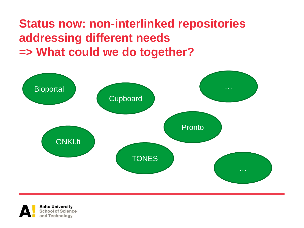**Status now: non-interlinked repositories** addressing different needs => What could we do together?



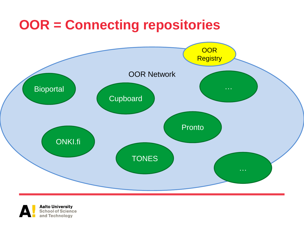### **OOR = Connecting repositories**



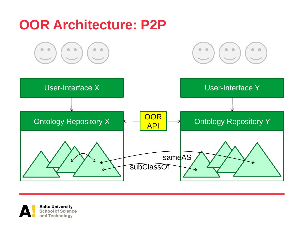#### **OOR Architecture: P2P**



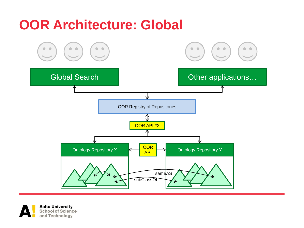#### **OOR Architecture: Global**



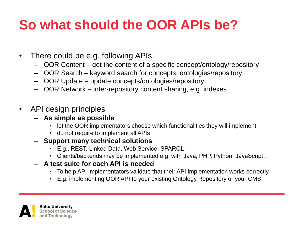# **So what should the OOR APIs be?**

- There could be e.g. following APIs:
	- OOR Content get the content of a specific concept/ontology/repository
	- OOR Search keyword search for concepts, ontologies/repository
	- OOR Update update concepts/ontologies/repository
	- OOR Network inter-repository content sharing, e.g. indexes
- API design principles
	- **As simple as possible**
		- let the OOR implementators choose which functionalities they will implement
		- do not require to implement all APIs
	- **Support many technical solutions**
		- E.g., REST, Linked Data, Web Service, SPARQL…
		- Clients/backends may be implemented e.g. with Java, PHP, Python, JavaScript…
	- **A test suite for each API is needed**
		- To help API implementators validate that their API implementation works correctly
		- E.g. implementing OOR API to your existing Ontology Repository or your CMS

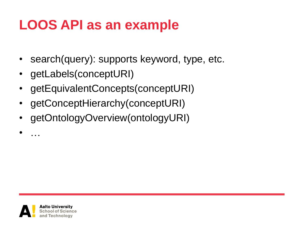### **LOOS API as an example**

- search(query): supports keyword, type, etc.
- getLabels(conceptURI)
- getEquivalentConcepts(conceptURI)
- getConceptHierarchy(conceptURI)
- getOntologyOverview(ontologyURI)

• …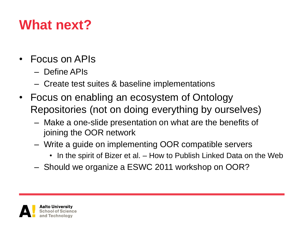# **What next?**

- Focus on APIs
	- Define APIs
	- Create test suites & baseline implementations
- Focus on enabling an ecosystem of Ontology Repositories (not on doing everything by ourselves)
	- Make a one-slide presentation on what are the benefits of joining the OOR network
	- Write a guide on implementing OOR compatible servers
		- In the spirit of Bizer et al. How to Publish Linked Data on the Web
	- Should we organize a ESWC 2011 workshop on OOR?